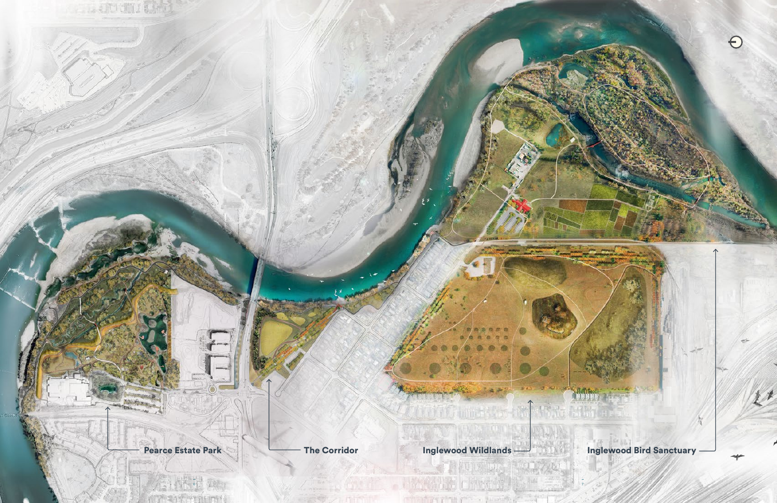